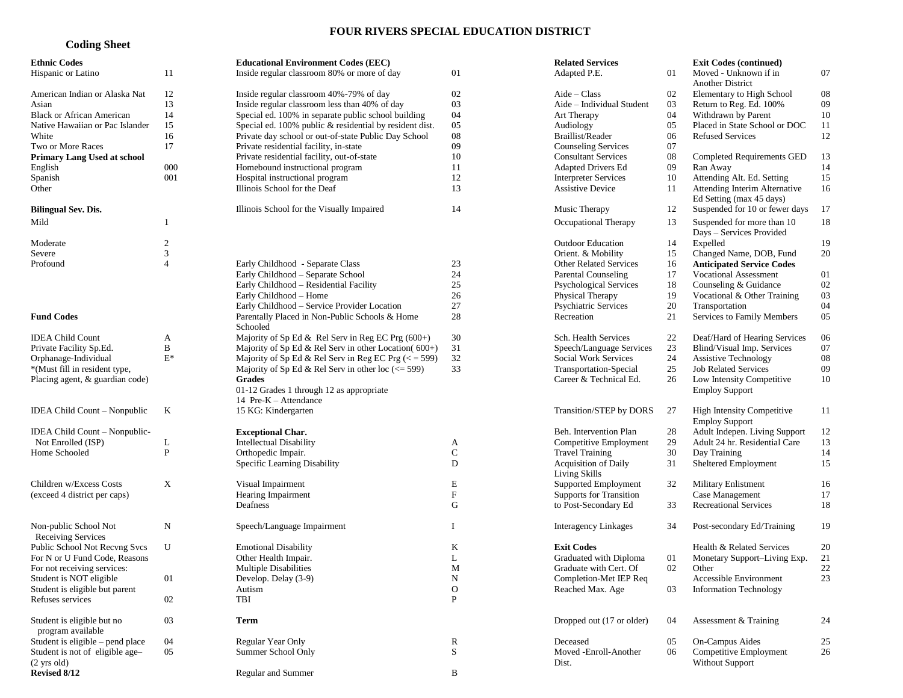## **FOUR RIVERS SPECIAL EDUCATION DISTRICT**

## **Coding Sheet**

| <b>Ethnic Codes</b>                                      |                  | <b>Educational Environment Codes (EEC)</b>                        |                             | <b>Related Services</b>                      |    | <b>Exit Codes (continued)</b>                              |    |
|----------------------------------------------------------|------------------|-------------------------------------------------------------------|-----------------------------|----------------------------------------------|----|------------------------------------------------------------|----|
| Hispanic or Latino                                       | 11               | Inside regular classroom 80% or more of day                       | 01                          | Adapted P.E.                                 | 01 | Moved - Unknown if in<br>Another District                  | 07 |
| American Indian or Alaska Nat                            | 12               | Inside regular classroom 40%-79% of day                           | 02                          | $Aide - Class$                               | 02 | Elementary to High School                                  | 08 |
| Asian                                                    | 13               | Inside regular classroom less than 40% of day                     | 03                          | Aide - Individual Student                    | 03 | Return to Reg. Ed. 100%                                    | 09 |
| <b>Black or African American</b>                         | 14               | Special ed. 100% in separate public school building               | 04                          | Art Therapy                                  | 04 | Withdrawn by Parent                                        | 10 |
| Native Hawaiian or Pac Islander                          | 15               | Special ed. 100% public & residential by resident dist.           | 05                          | Audiology                                    | 05 | Placed in State School or DOC                              | 11 |
| White                                                    | 16               | Private day school or out-of-state Public Day School              | 08                          | Braillist/Reader                             | 06 | <b>Refused Services</b>                                    | 12 |
|                                                          | 17               |                                                                   | 09                          |                                              | 07 |                                                            |    |
| Two or More Races                                        |                  | Private residential facility, in-state                            |                             | <b>Counseling Services</b>                   |    |                                                            |    |
| <b>Primary Lang Used at school</b>                       |                  | Private residential facility, out-of-state                        | 10                          | <b>Consultant Services</b>                   | 08 | <b>Completed Requirements GED</b>                          | 13 |
| English                                                  | 000              | Homebound instructional program                                   | 11                          | <b>Adapted Drivers Ed</b>                    | 09 | Ran Away                                                   | 14 |
| Spanish                                                  | 001              | Hospital instructional program                                    | 12                          | <b>Interpreter Services</b>                  | 10 | Attending Alt. Ed. Setting                                 | 15 |
| Other                                                    |                  | Illinois School for the Deaf                                      | 13                          | <b>Assistive Device</b>                      | 11 | Attending Interim Alternative<br>Ed Setting (max 45 days)  | 16 |
| <b>Bilingual Sev. Dis.</b>                               |                  | Illinois School for the Visually Impaired                         | 14                          | Music Therapy                                | 12 | Suspended for 10 or fewer days                             | 17 |
| Mild                                                     |                  |                                                                   |                             | Occupational Therapy                         | 13 | Suspended for more than 10<br>Days - Services Provided     | 18 |
| Moderate                                                 | $\boldsymbol{2}$ |                                                                   |                             | <b>Outdoor Education</b>                     | 14 | Expelled                                                   | 19 |
| Severe                                                   | $\mathfrak{Z}$   |                                                                   |                             | Orient. & Mobility                           | 15 | Changed Name, DOB, Fund                                    | 20 |
| Profound                                                 | $\overline{4}$   | Early Childhood - Separate Class                                  | 23                          | <b>Other Related Services</b>                | 16 | <b>Anticipated Service Codes</b>                           |    |
|                                                          |                  | Early Childhood - Separate School                                 | 24                          | <b>Parental Counseling</b>                   | 17 | <b>Vocational Assessment</b>                               | 01 |
|                                                          |                  | Early Childhood - Residential Facility                            | 25                          | <b>Psychological Services</b>                | 18 | Counseling & Guidance                                      | 02 |
|                                                          |                  | Early Childhood - Home                                            | 26                          | Physical Therapy                             | 19 | Vocational & Other Training                                | 03 |
|                                                          |                  | Early Childhood - Service Provider Location                       | 27                          | <b>Psychiatric Services</b>                  | 20 | Transportation                                             | 04 |
|                                                          |                  |                                                                   |                             | Recreation                                   |    |                                                            |    |
| <b>Fund Codes</b>                                        |                  | Parentally Placed in Non-Public Schools & Home<br>Schooled        | 28                          |                                              | 21 | Services to Family Members                                 | 05 |
| <b>IDEA Child Count</b>                                  | A                | Majority of Sp Ed & Rel Serv in Reg EC Prg $(600+)$               | 30                          | Sch. Health Services                         | 22 | Deaf/Hard of Hearing Services                              | 06 |
| Private Facility Sp.Ed.                                  | $\, {\bf B}$     | Majority of Sp Ed & Rel Serv in other Location( $600+$ )          | 31                          | Speech/Language Services                     | 23 | Blind/Visual Imp. Services                                 | 07 |
| Orphanage-Individual                                     | $\mathbf{E}^*$   | Majority of Sp Ed & Rel Serv in Reg EC Prg $(<$ = 599)            | 32                          | Social Work Services                         | 24 | <b>Assistive Technology</b>                                | 08 |
| *(Must fill in resident type,                            |                  | Majority of Sp Ed & Rel Serv in other loc $\left(<=599\right)$    | 33                          | Transportation-Special                       | 25 | <b>Job Related Services</b>                                | 09 |
| Placing agent, & guardian code)                          |                  | <b>Grades</b>                                                     |                             | Career & Technical Ed.                       | 26 | Low Intensity Competitive                                  | 10 |
|                                                          |                  | 01-12 Grades 1 through 12 as appropriate<br>14 Pre-K - Attendance |                             |                                              |    | <b>Employ Support</b>                                      |    |
| IDEA Child Count - Nonpublic                             | K                | 15 KG: Kindergarten                                               |                             | Transition/STEP by DORS                      | 27 | <b>High Intensity Competitive</b><br><b>Employ Support</b> | 11 |
| IDEA Child Count – Nonpublic-                            |                  | <b>Exceptional Char.</b>                                          |                             | Beh. Intervention Plan                       | 28 | Adult Indepen. Living Support                              | 12 |
| Not Enrolled (ISP)                                       | L                | <b>Intellectual Disability</b>                                    | A                           | Competitive Employment                       | 29 | Adult 24 hr. Residential Care                              | 13 |
| Home Schooled                                            | ${\bf P}$        | Orthopedic Impair.                                                | $\mathbf C$                 | <b>Travel Training</b>                       | 30 | Day Training                                               | 14 |
|                                                          |                  | Specific Learning Disability                                      | D                           | <b>Acquisition of Daily</b><br>Living Skills | 31 | Sheltered Employment                                       | 15 |
| Children w/Excess Costs                                  | $\mathbf X$      | Visual Impairment                                                 | E                           | Supported Employment                         | 32 | Military Enlistment                                        | 16 |
| (exceed 4 district per caps)                             |                  | Hearing Impairment                                                | ${\bf F}$                   | <b>Supports for Transition</b>               |    | Case Management                                            | 17 |
|                                                          |                  | Deafness                                                          | G                           | to Post-Secondary Ed                         | 33 | <b>Recreational Services</b>                               | 18 |
|                                                          |                  |                                                                   |                             |                                              |    |                                                            |    |
| Non-public School Not<br>Receiving Services              | N                | Speech/Language Impairment                                        | I                           | <b>Interagency Linkages</b>                  | 34 | Post-secondary Ed/Training                                 | 19 |
| Public School Not Recvng Svcs                            | U                | <b>Emotional Disability</b>                                       | K                           | <b>Exit Codes</b>                            |    | Health & Related Services                                  | 20 |
| For N or U Fund Code, Reasons                            |                  | Other Health Impair.                                              | L                           | Graduated with Diploma                       | 01 | Monetary Support-Living Exp.                               | 21 |
|                                                          |                  |                                                                   | M                           | Graduate with Cert. Of                       | 02 | Other                                                      | 22 |
| For not receiving services:<br>Student is NOT eligible   | 01               | Multiple Disabilities<br>Develop. Delay (3-9)                     | N                           | Completion-Met IEP Req                       |    | Accessible Environment                                     | 23 |
| Student is eligible but parent                           |                  |                                                                   |                             |                                              |    |                                                            |    |
|                                                          |                  | Autism                                                            | $\mathbf O$<br>$\mathbf{P}$ | Reached Max. Age                             | 03 | <b>Information Technology</b>                              |    |
| Refuses services                                         | 02               | TBI                                                               |                             |                                              |    |                                                            |    |
| Student is eligible but no<br>program available          | 03               | Term                                                              |                             | Dropped out (17 or older)                    | 04 | Assessment & Training                                      | 24 |
| Student is eligible – pend place                         | 04               | Regular Year Only                                                 |                             | Deceased                                     | 05 | On-Campus Aides                                            | 25 |
|                                                          |                  |                                                                   | R                           |                                              |    | Competitive Employment                                     |    |
| Student is not of eligible age-<br>$(2 \text{ yrs old})$ | 05               | Summer School Only                                                | ${\bf S}$                   | Moved -Enroll-Another<br>Dist.               | 06 | <b>Without Support</b>                                     | 26 |
| Revised 8/12                                             |                  | Regular and Summer                                                | B                           |                                              |    |                                                            |    |